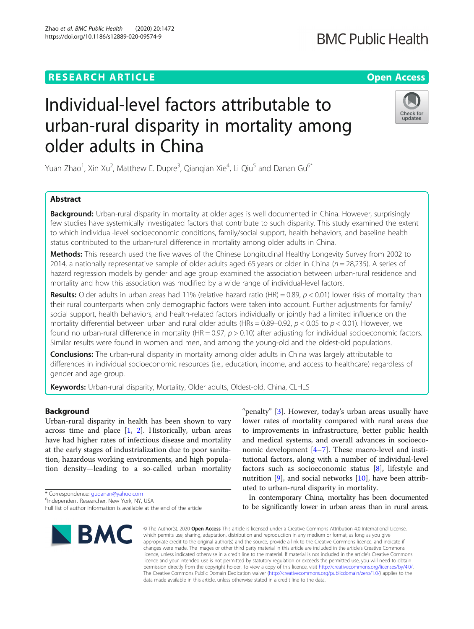# Individual-level factors attributable to urban-rural disparity in mortality among older adults in China

Yuan Zhao<sup>1</sup>, Xin Xu<sup>2</sup>, Matthew E. Dupre<sup>3</sup>, Qianqian Xie<sup>4</sup>, Li Qiu<sup>5</sup> and Danan Gu<sup>6\*</sup>

# Abstract

**Background:** Urban-rural disparity in mortality at older ages is well documented in China. However, surprisingly few studies have systemically investigated factors that contribute to such disparity. This study examined the extent to which individual-level socioeconomic conditions, family/social support, health behaviors, and baseline health status contributed to the urban-rural difference in mortality among older adults in China.

Methods: This research used the five waves of the Chinese Longitudinal Healthy Longevity Survey from 2002 to 2014, a nationally representative sample of older adults aged 65 years or older in China ( $n = 28,235$ ). A series of hazard regression models by gender and age group examined the association between urban-rural residence and mortality and how this association was modified by a wide range of individual-level factors.

**Results:** Older adults in urban areas had 11% (relative hazard ratio (HR) = 0.89,  $p < 0.01$ ) lower risks of mortality than their rural counterparts when only demographic factors were taken into account. Further adjustments for family/ social support, health behaviors, and health-related factors individually or jointly had a limited influence on the mortality differential between urban and rural older adults (HRs =  $0.89-0.92$ ,  $p < 0.05$  to  $p < 0.01$ ). However, we found no urban-rural difference in mortality (HR = 0.97,  $p > 0.10$ ) after adjusting for individual socioeconomic factors. Similar results were found in women and men, and among the young-old and the oldest-old populations.

**Conclusions:** The urban-rural disparity in mortality among older adults in China was largely attributable to differences in individual socioeconomic resources (i.e., education, income, and access to healthcare) regardless of gender and age group.

Keywords: Urban-rural disparity, Mortality, Older adults, Oldest-old, China, CLHLS

# Background

Urban-rural disparity in health has been shown to vary across time and place  $[1, 2]$  $[1, 2]$  $[1, 2]$  $[1, 2]$ . Historically, urban areas have had higher rates of infectious disease and mortality at the early stages of industrialization due to poor sanitation, hazardous working environments, and high population density—leading to a so-called urban mortality

\* Correspondence: [gudanan@yahoo.com](mailto:gudanan@yahoo.com) <sup>6</sup> <sup>6</sup>Independent Researcher, New York, NY, USA Full list of author information is available at the end of the article

**RESEARCH ARTICLE Example 2014 12:30 The Contract of Contract ACCESS** 

Zhao et al. BMC Public Health (2020) 20:1472 https://doi.org/10.1186/s12889-020-09574-9



"penalty" [\[3](#page-9-0)]. However, today's urban areas usually have lower rates of mortality compared with rural areas due to improvements in infrastructure, better public health and medical systems, and overall advances in socioeconomic development [[4](#page-9-0)–[7\]](#page-9-0). These macro-level and institutional factors, along with a number of individual-level factors such as socioeconomic status [\[8](#page-9-0)], lifestyle and nutrition [[9\]](#page-9-0), and social networks [[10\]](#page-9-0), have been attributed to urban-rural disparity in mortality.

In contemporary China, mortality has been documented to be significantly lower in urban areas than in rural areas.

© The Author(s), 2020 **Open Access** This article is licensed under a Creative Commons Attribution 4.0 International License, which permits use, sharing, adaptation, distribution and reproduction in any medium or format, as long as you give appropriate credit to the original author(s) and the source, provide a link to the Creative Commons licence, and indicate if changes were made. The images or other third party material in this article are included in the article's Creative Commons licence, unless indicated otherwise in a credit line to the material. If material is not included in the article's Creative Commons licence and your intended use is not permitted by statutory regulation or exceeds the permitted use, you will need to obtain permission directly from the copyright holder. To view a copy of this licence, visit [http://creativecommons.org/licenses/by/4.0/.](http://creativecommons.org/licenses/by/4.0/) The Creative Commons Public Domain Dedication waiver [\(http://creativecommons.org/publicdomain/zero/1.0/](http://creativecommons.org/publicdomain/zero/1.0/)) applies to the data made available in this article, unless otherwise stated in a credit line to the data.



Check for updates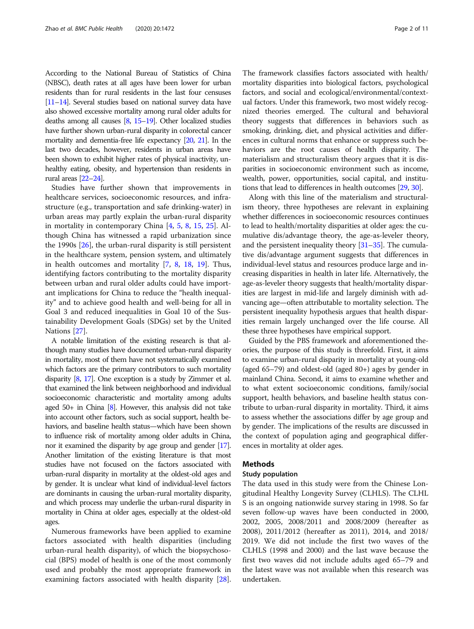According to the National Bureau of Statistics of China (NBSC), death rates at all ages have been lower for urban residents than for rural residents in the last four censuses [[11](#page-9-0)–[14\]](#page-9-0). Several studies based on national survey data have also showed excessive mortality among rural older adults for deaths among all causes [\[8,](#page-9-0) [15](#page-9-0)–[19\]](#page-9-0). Other localized studies have further shown urban-rural disparity in colorectal cancer mortality and dementia-free life expectancy [[20,](#page-9-0) [21\]](#page-9-0). In the last two decades, however, residents in urban areas have been shown to exhibit higher rates of physical inactivity, unhealthy eating, obesity, and hypertension than residents in rural areas [\[22](#page-9-0)–[24](#page-9-0)].

Studies have further shown that improvements in healthcare services, socioeconomic resources, and infrastructure (e.g., transportation and safe drinking-water) in urban areas may partly explain the urban-rural disparity in mortality in contemporary China [[4,](#page-9-0) [5](#page-9-0), [8,](#page-9-0) [15](#page-9-0), [25\]](#page-9-0). Although China has witnessed a rapid urbanization since the 1990s [\[26\]](#page-9-0), the urban-rural disparity is still persistent in the healthcare system, pension system, and ultimately in health outcomes and mortality [[7,](#page-9-0) [8](#page-9-0), [18,](#page-9-0) [19](#page-9-0)]. Thus, identifying factors contributing to the mortality disparity between urban and rural older adults could have important implications for China to reduce the "health inequality" and to achieve good health and well-being for all in Goal 3 and reduced inequalities in Goal 10 of the Sustainability Development Goals (SDGs) set by the United Nations [[27\]](#page-9-0).

A notable limitation of the existing research is that although many studies have documented urban-rural disparity in mortality, most of them have not systematically examined which factors are the primary contributors to such mortality disparity [\[8](#page-9-0), [17\]](#page-9-0). One exception is a study by Zimmer et al. that examined the link between neighborhood and individual socioeconomic characteristic and mortality among adults aged  $50+$  in China [\[8](#page-9-0)]. However, this analysis did not take into account other factors, such as social support, health behaviors, and baseline health status—which have been shown to influence risk of mortality among older adults in China, nor it examined the disparity by age group and gender [\[17\]](#page-9-0). Another limitation of the existing literature is that most studies have not focused on the factors associated with urban-rural disparity in mortality at the oldest-old ages and by gender. It is unclear what kind of individual-level factors are dominants in causing the urban-rural mortality disparity, and which process may underlie the urban-rural disparity in mortality in China at older ages, especially at the oldest-old ages.

Numerous frameworks have been applied to examine factors associated with health disparities (including urban-rural health disparity), of which the biopsychosocial (BPS) model of health is one of the most commonly used and probably the most appropriate framework in examining factors associated with health disparity [\[28](#page-9-0)].

The framework classifies factors associated with health/ mortality disparities into biological factors, psychological factors, and social and ecological/environmental/contextual factors. Under this framework, two most widely recognized theories emerged. The cultural and behavioral theory suggests that differences in behaviors such as smoking, drinking, diet, and physical activities and differences in cultural norms that enhance or suppress such behaviors are the root causes of health disparity. The materialism and structuralism theory argues that it is disparities in socioeconomic environment such as income,

Along with this line of the materialism and structuralism theory, three hypotheses are relevant in explaining whether differences in socioeconomic resources continues to lead to health/mortality disparities at older ages: the cumulative dis/advantage theory, the age-as-leveler theory, and the persistent inequality theory [\[31](#page-9-0)–[35](#page-9-0)]. The cumulative dis/advantage argument suggests that differences in individual-level status and resources produce large and increasing disparities in health in later life. Alternatively, the age-as-leveler theory suggests that health/mortality disparities are largest in mid-life and largely diminish with advancing age—often attributable to mortality selection. The persistent inequality hypothesis argues that health disparities remain largely unchanged over the life course. All these three hypotheses have empirical support.

wealth, power, opportunities, social capital, and institutions that lead to differences in health outcomes [[29](#page-9-0), [30\]](#page-9-0).

Guided by the PBS framework and aforementioned theories, the purpose of this study is threefold. First, it aims to examine urban-rural disparity in mortality at young-old (aged 65–79) and oldest-old (aged 80+) ages by gender in mainland China. Second, it aims to examine whether and to what extent socioeconomic conditions, family/social support, health behaviors, and baseline health status contribute to urban-rural disparity in mortality. Third, it aims to assess whether the associations differ by age group and by gender. The implications of the results are discussed in the context of population aging and geographical differences in mortality at older ages.

#### Methods

#### Study population

The data used in this study were from the Chinese Longitudinal Healthy Longevity Survey (CLHLS). The CLHL S is an ongoing nationwide survey staring in 1998. So far seven follow-up waves have been conducted in 2000, 2002, 2005, 2008/2011 and 2008/2009 (hereafter as 2008), 2011/2012 (hereafter as 2011), 2014, and 2018/ 2019. We did not include the first two waves of the CLHLS (1998 and 2000) and the last wave because the first two waves did not include adults aged 65–79 and the latest wave was not available when this research was undertaken.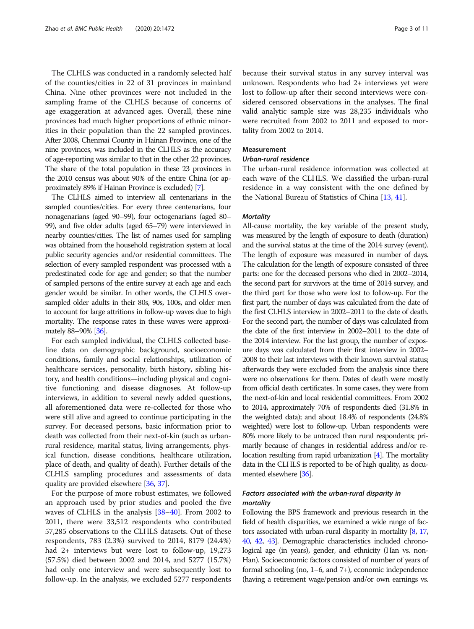The CLHLS was conducted in a randomly selected half of the counties/cities in 22 of 31 provinces in mainland China. Nine other provinces were not included in the sampling frame of the CLHLS because of concerns of age exaggeration at advanced ages. Overall, these nine provinces had much higher proportions of ethnic minorities in their population than the 22 sampled provinces. After 2008, Chenmai County in Hainan Province, one of the nine provinces, was included in the CLHLS as the accuracy of age-reporting was similar to that in the other 22 provinces. The share of the total population in these 23 provinces in the 2010 census was about 90% of the entire China (or approximately 89% if Hainan Province is excluded) [\[7\]](#page-9-0).

The CLHLS aimed to interview all centenarians in the sampled counties/cities. For every three centenarians, four nonagenarians (aged 90–99), four octogenarians (aged 80– 99), and five older adults (aged 65–79) were interviewed in nearby counties/cities. The list of names used for sampling was obtained from the household registration system at local public security agencies and/or residential committees. The selection of every sampled respondent was processed with a predestinated code for age and gender; so that the number of sampled persons of the entire survey at each age and each gender would be similar. In other words, the CLHLS oversampled older adults in their 80s, 90s, 100s, and older men to account for large attritions in follow-up waves due to high mortality. The response rates in these waves were approximately 88–90% [\[36](#page-9-0)].

For each sampled individual, the CLHLS collected baseline data on demographic background, socioeconomic conditions, family and social relationships, utilization of healthcare services, personality, birth history, sibling history, and health conditions—including physical and cognitive functioning and disease diagnoses. At follow-up interviews, in addition to several newly added questions, all aforementioned data were re-collected for those who were still alive and agreed to continue participating in the survey. For deceased persons, basic information prior to death was collected from their next-of-kin (such as urbanrural residence, marital status, living arrangements, physical function, disease conditions, healthcare utilization, place of death, and quality of death). Further details of the CLHLS sampling procedures and assessments of data quality are provided elsewhere [[36](#page-9-0), [37\]](#page-9-0).

For the purpose of more robust estimates, we followed an approach used by prior studies and pooled the five waves of CLHLS in the analysis [[38](#page-9-0)–[40](#page-9-0)]. From 2002 to 2011, there were 33,512 respondents who contributed 57,285 observations to the CLHLS datasets. Out of these respondents, 783 (2.3%) survived to 2014, 8179 (24.4%) had 2+ interviews but were lost to follow-up, 19,273 (57.5%) died between 2002 and 2014, and 5277 (15.7%) had only one interview and were subsequently lost to follow-up. In the analysis, we excluded 5277 respondents because their survival status in any survey interval was unknown. Respondents who had 2+ interviews yet were lost to follow-up after their second interviews were considered censored observations in the analyses. The final valid analytic sample size was 28,235 individuals who were recruited from 2002 to 2011 and exposed to mortality from 2002 to 2014.

# Measurement

# Urban-rural residence

The urban-rural residence information was collected at each wave of the CLHLS. We classified the urban-rural residence in a way consistent with the one defined by the National Bureau of Statistics of China [[13](#page-9-0), [41](#page-9-0)].

#### **Mortality**

All-cause mortality, the key variable of the present study, was measured by the length of exposure to death (duration) and the survival status at the time of the 2014 survey (event). The length of exposure was measured in number of days. The calculation for the length of exposure consisted of three parts: one for the deceased persons who died in 2002–2014, the second part for survivors at the time of 2014 survey, and the third part for those who were lost to follow-up. For the first part, the number of days was calculated from the date of the first CLHLS interview in 2002–2011 to the date of death. For the second part, the number of days was calculated from the date of the first interview in 2002–2011 to the date of the 2014 interview. For the last group, the number of exposure days was calculated from their first interview in 2002– 2008 to their last interviews with their known survival status; afterwards they were excluded from the analysis since there were no observations for them. Dates of death were mostly from official death certificates. In some cases, they were from the next-of-kin and local residential committees. From 2002 to 2014, approximately 70% of respondents died (31.8% in the weighted data); and about 18.4% of respondents (24.8% weighted) were lost to follow-up. Urban respondents were 80% more likely to be untraced than rural respondents; primarily because of changes in residential address and/or relocation resulting from rapid urbanization [\[4](#page-9-0)]. The mortality data in the CLHLS is reported to be of high quality, as documented elsewhere [\[36](#page-9-0)].

# Factors associated with the urban-rural disparity in mortality

Following the BPS framework and previous research in the field of health disparities, we examined a wide range of factors associated with urban-rural disparity in mortality [[8](#page-9-0), [17](#page-9-0), [40,](#page-9-0) [42,](#page-9-0) [43\]](#page-9-0). Demographic characteristics included chronological age (in years), gender, and ethnicity (Han vs. non-Han). Socioeconomic factors consisted of number of years of formal schooling (no, 1–6, and 7+), economic independence (having a retirement wage/pension and/or own earnings vs.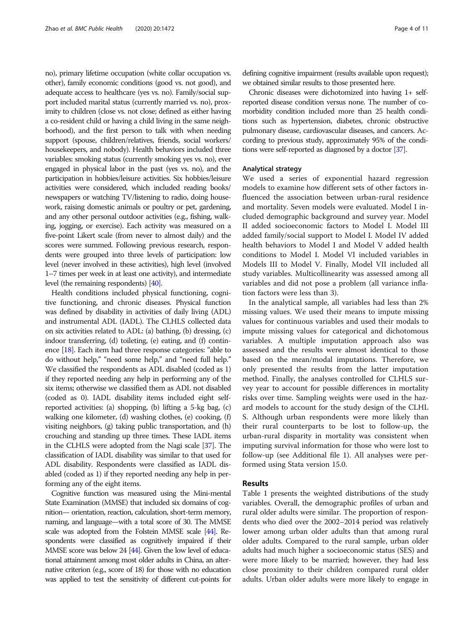no), primary lifetime occupation (white collar occupation vs. other), family economic conditions (good vs. not good), and adequate access to healthcare (yes vs. no). Family/social support included marital status (currently married vs. no), proximity to children (close vs. not close; defined as either having a co-resident child or having a child living in the same neighborhood), and the first person to talk with when needing support (spouse, children/relatives, friends, social workers/ housekeepers, and nobody). Health behaviors included three variables: smoking status (currently smoking yes vs. no), ever engaged in physical labor in the past (yes vs. no), and the participation in hobbies/leisure activities. Six hobbies/leisure activities were considered, which included reading books/ newspapers or watching TV/listening to radio, doing housework, raising domestic animals or poultry or pet, gardening, and any other personal outdoor activities (e.g., fishing, walking, jogging, or exercise). Each activity was measured on a five-point Likert scale (from never to almost daily) and the scores were summed. Following previous research, respondents were grouped into three levels of participation: low level (never involved in these activities), high level (involved 1–7 times per week in at least one activity), and intermediate level (the remaining respondents) [\[40](#page-9-0)].

Health conditions included physical functioning, cognitive functioning, and chronic diseases. Physical function was defined by disability in activities of daily living (ADL) and instrumental ADL (IADL). The CLHLS collected data on six activities related to ADL: (a) bathing, (b) dressing, (c) indoor transferring, (d) toileting, (e) eating, and (f) continence [\[18\]](#page-9-0). Each item had three response categories: "able to do without help," "need some help," and "need full help." We classified the respondents as ADL disabled (coded as 1) if they reported needing any help in performing any of the six items; otherwise we classified them as ADL not disabled (coded as 0). IADL disability items included eight selfreported activities: (a) shopping, (b) lifting a 5-kg bag, (c) walking one kilometer, (d) washing clothes, (e) cooking, (f) visiting neighbors, (g) taking public transportation, and (h) crouching and standing up three times. These IADL items in the CLHLS were adopted from the Nagi scale [\[37](#page-9-0)]. The classification of IADL disability was similar to that used for ADL disability. Respondents were classified as IADL disabled (coded as 1) if they reported needing any help in performing any of the eight items.

Cognitive function was measured using the Mini-mental State Examination (MMSE) that included six domains of cognition— orientation, reaction, calculation, short-term memory, naming, and language—with a total score of 30. The MMSE scale was adopted from the Folstein MMSE scale [\[44](#page-9-0)]. Respondents were classified as cognitively impaired if their MMSE score was below 24 [[44\]](#page-9-0). Given the low level of educational attainment among most older adults in China, an alternative criterion (e.g., score of 18) for those with no education was applied to test the sensitivity of different cut-points for

defining cognitive impairment (results available upon request); we obtained similar results to those presented here.

Chronic diseases were dichotomized into having 1+ selfreported disease condition versus none. The number of comorbidity condition included more than 25 health conditions such as hypertension, diabetes, chronic obstructive pulmonary disease, cardiovascular diseases, and cancers. According to previous study, approximately 95% of the conditions were self-reported as diagnosed by a doctor [[37\]](#page-9-0).

### Analytical strategy

We used a series of exponential hazard regression models to examine how different sets of other factors influenced the association between urban-rural residence and mortality. Seven models were evaluated. Model I included demographic background and survey year. Model II added socioeconomic factors to Model I. Model III added family/social support to Model I. Model IV added health behaviors to Model I and Model V added health conditions to Model I. Model VI included variables in Models III to Model V. Finally, Model VII included all study variables. Multicollinearity was assessed among all variables and did not pose a problem (all variance inflation factors were less than 3).

In the analytical sample, all variables had less than 2% missing values. We used their means to impute missing values for continuous variables and used their modals to impute missing values for categorical and dichotomous variables. A multiple imputation approach also was assessed and the results were almost identical to those based on the mean/modal imputations. Therefore, we only presented the results from the latter imputation method. Finally, the analyses controlled for CLHLS survey year to account for possible differences in mortality risks over time. Sampling weights were used in the hazard models to account for the study design of the CLHL S. Although urban respondents were more likely than their rural counterparts to be lost to follow-up, the urban-rural disparity in mortality was consistent when imputing survival information for those who were lost to follow-up (see Additional file [1\)](#page-8-0). All analyses were performed using Stata version 15.0.

#### Results

Table [1](#page-4-0) presents the weighted distributions of the study variables. Overall, the demographic profiles of urban and rural older adults were similar. The proportion of respondents who died over the 2002–2014 period was relatively lower among urban older adults than that among rural older adults. Compared to the rural sample, urban older adults had much higher a socioeconomic status (SES) and were more likely to be married; however, they had less close proximity to their children compared rural older adults. Urban older adults were more likely to engage in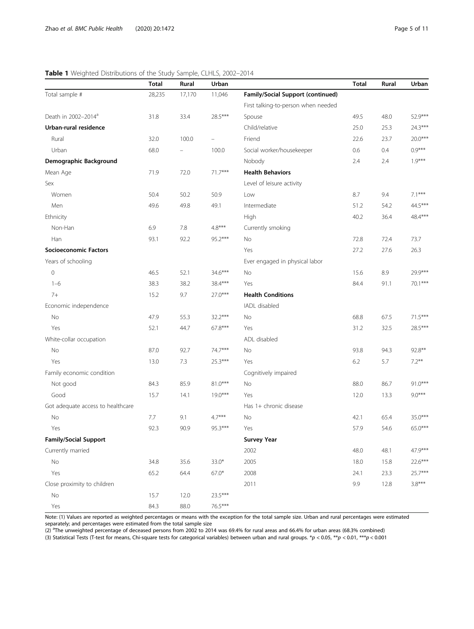# <span id="page-4-0"></span>Table 1 Weighted Distributions of the Study Sample, CLHLS, 2002-2014

|                                   | <b>Total</b> | Rural             | Urban                    |                                          | <b>Total</b> | Rural | Urban     |
|-----------------------------------|--------------|-------------------|--------------------------|------------------------------------------|--------------|-------|-----------|
| Total sample #                    | 28,235       | 17,170            | 11,046                   | <b>Family/Social Support (continued)</b> |              |       |           |
|                                   |              |                   |                          | First talking-to-person when needed      |              |       |           |
| Death in 2002-2014 <sup>a</sup>   | 31.8         | 33.4              | 28.5***                  | Spouse                                   | 49.5         | 48.0  | 52.9***   |
| Urban-rural residence             |              |                   |                          | Child/relative                           | 25.0         | 25.3  | $24.3***$ |
| Rural                             | 32.0         | 100.0             | $\overline{\phantom{0}}$ | Friend                                   | 22.6         | 23.7  | $20.0***$ |
| Urban                             | 68.0         | $\qquad \qquad -$ | 100.0                    | Social worker/housekeeper                | 0.6          | 0.4   | $0.9***$  |
| Demographic Background            |              |                   |                          | Nobody                                   | 2.4          | 2.4   | $1.9***$  |
| Mean Age                          | 71.9         | 72.0              | $71.7***$                | <b>Health Behaviors</b>                  |              |       |           |
| Sex                               |              |                   |                          | Level of leisure activity                |              |       |           |
| Women                             | 50.4         | 50.2              | 50.9                     | Low                                      | 8.7          | 9.4   | $7.1***$  |
| Men                               | 49.6         | 49.8              | 49.1                     | Intermediate                             | 51.2         | 54.2  | 44.5***   |
| Ethnicity                         |              |                   |                          | High                                     | 40.2         | 36.4  | 48.4***   |
| Non-Han                           | 6.9          | 7.8               | $4.8***$                 | Currently smoking                        |              |       |           |
| Han                               | 93.1         | 92.2              | 95.2***                  | No                                       | 72.8         | 72.4  | 73.7      |
| Socioeconomic Factors             |              |                   |                          | Yes                                      | 27.2         | 27.6  | 26.3      |
| Years of schooling                |              |                   |                          | Ever engaged in physical labor           |              |       |           |
| $\circ$                           | 46.5         | 52.1              | 34.6***                  | No                                       | 15.6         | 8.9   | 29.9***   |
| $1 - 6$                           | 38.3         | 38.2              | 38.4***                  | Yes                                      | 84.4         | 91.1  | 70.1***   |
| $7+$                              | 15.2         | 9.7               | $27.0***$                | <b>Health Conditions</b>                 |              |       |           |
| Economic independence             |              |                   |                          | IADL disabled                            |              |       |           |
| No                                | 47.9         | 55.3              | $32.2***$                | No                                       | 68.8         | 67.5  | $71.5***$ |
| Yes                               | 52.1         | 44.7              | 67.8***                  | Yes                                      | 31.2         | 32.5  | 28.5***   |
| White-collar occupation           |              |                   |                          | ADL disabled                             |              |       |           |
| No                                | 87.0         | 92.7              | 74.7***                  | No                                       | 93.8         | 94.3  | 92.8**    |
| Yes                               | 13.0         | 7.3               | 25.3***                  | Yes                                      | 6.2          | 5.7   | $7.2***$  |
| Family economic condition         |              |                   |                          | Cognitively impaired                     |              |       |           |
| Not good                          | 84.3         | 85.9              | $81.0***$                | No                                       | 88.0         | 86.7  | $91.0***$ |
| Good                              | 15.7         | 14.1              | $19.0***$                | Yes                                      | 12.0         | 13.3  | $9.0***$  |
| Got adequate access to healthcare |              |                   |                          | Has 1+ chronic disease                   |              |       |           |
| No                                | 7.7          | 9.1               | $4.7***$                 | No                                       | 42.1         | 65.4  | 35.0***   |
| Yes                               | 92.3         | 90.9              | 95.3***                  | Yes                                      | 57.9         | 54.6  | $65.0***$ |
| <b>Family/Social Support</b>      |              |                   |                          | <b>Survey Year</b>                       |              |       |           |
| Currently married                 |              |                   |                          | 2002                                     | 48.0         | 48.1  | 47.9***   |
| No                                | 34.8         | 35.6              | $33.0*$                  | 2005                                     | 18.0         | 15.8  | $22.6***$ |
| Yes                               | 65.2         | 64.4              | $67.0*$                  | 2008                                     | 24.1         | 23.3  | 25.7***   |
| Close proximity to children       |              |                   |                          | 2011                                     | 9.9          | 12.8  | $3.8***$  |
| No                                | 15.7         | 12.0              | 23.5***                  |                                          |              |       |           |
| Yes                               | 84.3         | 88.0              | 76.5***                  |                                          |              |       |           |

Note: (1) Values are reported as weighted percentages or means with the exception for the total sample size. Urban and rural percentages were estimated separately; and percentages were estimated from the total sample size

(2) <sup>a</sup>The unweighted percentage of deceased persons from 2002 to 2014 was 69.4% for rural areas and 66.4% for urban areas (68.3% combined)

(3) Statistical Tests (T-test for means, Chi-square tests for categorical variables) between urban and rural groups.  $*p < 0.05$ ,  $**p < 0.01$ ,  $***p < 0.001$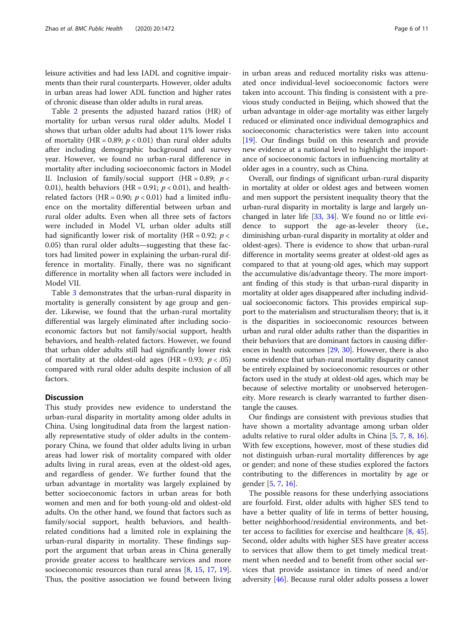leisure activities and had less IADL and cognitive impairments than their rural counterparts. However, older adults in urban areas had lower ADL function and higher rates of chronic disease than older adults in rural areas.

Table [2](#page-6-0) presents the adjusted hazard ratios (HR) of mortality for urban versus rural older adults. Model I shows that urban older adults had about 11% lower risks of mortality (HR = 0.89;  $p < 0.01$ ) than rural older adults after including demographic background and survey year. However, we found no urban-rural difference in mortality after including socioeconomic factors in Model II. Inclusion of family/social support (HR = 0.89;  $p <$ 0.01), health behaviors (HR = 0.91;  $p < 0.01$ ), and healthrelated factors (HR = 0.90;  $p < 0.01$ ) had a limited influence on the mortality differential between urban and rural older adults. Even when all three sets of factors were included in Model VI, urban older adults still had significantly lower risk of mortality (HR = 0.92;  $p <$ 0.05) than rural older adults—suggesting that these factors had limited power in explaining the urban-rural difference in mortality. Finally, there was no significant difference in mortality when all factors were included in Model VII.

Table [3](#page-7-0) demonstrates that the urban-rural disparity in mortality is generally consistent by age group and gender. Likewise, we found that the urban-rural mortality differential was largely eliminated after including socioeconomic factors but not family/social support, health behaviors, and health-related factors. However, we found that urban older adults still had significantly lower risk of mortality at the oldest-old ages (HR = 0.93;  $p < .05$ ) compared with rural older adults despite inclusion of all factors.

#### **Discussion**

This study provides new evidence to understand the urban-rural disparity in mortality among older adults in China. Using longitudinal data from the largest nationally representative study of older adults in the contemporary China, we found that older adults living in urban areas had lower risk of mortality compared with older adults living in rural areas, even at the oldest-old ages, and regardless of gender. We further found that the urban advantage in mortality was largely explained by better socioeconomic factors in urban areas for both women and men and for both young-old and oldest-old adults. On the other hand, we found that factors such as family/social support, health behaviors, and healthrelated conditions had a limited role in explaining the urban-rural disparity in mortality. These findings support the argument that urban areas in China generally provide greater access to healthcare services and more socioeconomic resources than rural areas [\[8](#page-9-0), [15,](#page-9-0) [17,](#page-9-0) [19](#page-9-0)]. Thus, the positive association we found between living in urban areas and reduced mortality risks was attenuated once individual-level socioeconomic factors were taken into account. This finding is consistent with a previous study conducted in Beijing, which showed that the urban advantage in older-age mortality was either largely reduced or eliminated once individual demographics and socioeconomic characteristics were taken into account [[19\]](#page-9-0). Our findings build on this research and provide new evidence at a national level to highlight the importance of socioeconomic factors in influencing mortality at older ages in a country, such as China.

Overall, our findings of significant urban-rural disparity in mortality at older or oldest ages and between women and men support the persistent inequality theory that the urban-rural disparity in mortality is large and largely unchanged in later life [[33](#page-9-0), [34](#page-9-0)]. We found no or little evidence to support the age-as-leveler theory (i.e., diminishing urban-rural disparity in mortality at older and oldest-ages). There is evidence to show that urban-rural difference in mortality seems greater at oldest-old ages as compared to that at young-old ages, which may support the accumulative dis/advantage theory. The more important finding of this study is that urban-rural disparity in mortality at older ages disappeared after including individual socioeconomic factors. This provides empirical support to the materialism and structuralism theory; that is, it is the disparities in socioeconomic resources between urban and rural older adults rather than the disparities in their behaviors that are dominant factors in causing differences in health outcomes [[29](#page-9-0), [30](#page-9-0)]. However, there is also some evidence that urban-rural mortality disparity cannot be entirely explained by socioeconomic resources or other factors used in the study at oldest-old ages, which may be because of selective mortality or unobserved heterogeneity. More research is clearly warranted to further disentangle the causes.

Our findings are consistent with previous studies that have shown a mortality advantage among urban older adults relative to rural older adults in China [[5,](#page-9-0) [7,](#page-9-0) [8](#page-9-0), [16](#page-9-0)]. With few exceptions, however, most of these studies did not distinguish urban-rural mortality differences by age or gender; and none of these studies explored the factors contributing to the differences in mortality by age or gender [[5,](#page-9-0) [7,](#page-9-0) [16](#page-9-0)].

The possible reasons for these underlying associations are fourfold. First, older adults with higher SES tend to have a better quality of life in terms of better housing, better neighborhood/residential environments, and better access to facilities for exercise and healthcare [\[8](#page-9-0), [45](#page-10-0)]. Second, older adults with higher SES have greater access to services that allow them to get timely medical treatment when needed and to benefit from other social services that provide assistance in times of need and/or adversity [\[46\]](#page-10-0). Because rural older adults possess a lower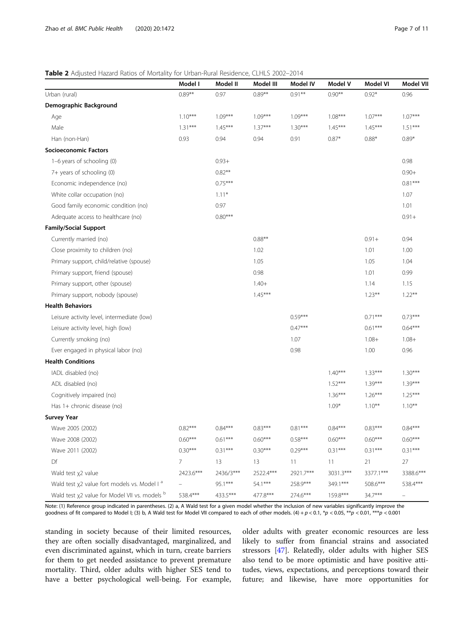# <span id="page-6-0"></span>Table 2 Adjusted Hazard Ratios of Mortality for Urban-Rural Residence, CLHLS 2002-2014

|                                                            | Model I   | Model II  | Model III | Model IV  | Model V   | Model VI  | <b>Model VII</b> |
|------------------------------------------------------------|-----------|-----------|-----------|-----------|-----------|-----------|------------------|
| Urban (rural)                                              | $0.89**$  | 0.97      | $0.89***$ | $0.91***$ | $0.90**$  | $0.92*$   | 0.96             |
| Demographic Background                                     |           |           |           |           |           |           |                  |
| Age                                                        | $1.10***$ | $1.09***$ | $1.09***$ | $1.09***$ | $1.08***$ | $1.07***$ | $1.07***$        |
| Male                                                       | $1.31***$ | $1.45***$ | $1.37***$ | $1.30***$ | $1.45***$ | $1.45***$ | $1.51***$        |
| Han (non-Han)                                              | 0.93      | 0.94      | 0.94      | 0.91      | $0.87*$   | $0.88*$   | $0.89*$          |
| <b>Socioeconomic Factors</b>                               |           |           |           |           |           |           |                  |
| 1-6 years of schooling (0)                                 |           | $0.93+$   |           |           |           |           | 0.98             |
| 7+ years of schooling (0)                                  |           | $0.82***$ |           |           |           |           | $0.90 +$         |
| Economic independence (no)                                 |           | $0.75***$ |           |           |           |           | $0.81***$        |
| White collar occupation (no)                               |           | $1.11*$   |           |           |           |           | 1.07             |
| Good family economic condition (no)                        |           | 0.97      |           |           |           |           | 1.01             |
| Adequate access to healthcare (no)                         |           | $0.80***$ |           |           |           |           | $0.91 +$         |
| <b>Family/Social Support</b>                               |           |           |           |           |           |           |                  |
| Currently married (no)                                     |           |           | $0.88***$ |           |           | $0.91 +$  | 0.94             |
| Close proximity to children (no)                           |           |           | 1.02      |           |           | 1.01      | 1.00             |
| Primary support, child/relative (spouse)                   |           |           | 1.05      |           |           | 1.05      | 1.04             |
| Primary support, friend (spouse)                           |           |           | 0.98      |           |           | 1.01      | 0.99             |
| Primary support, other (spouse)                            |           |           | $1.40+$   |           |           | 1.14      | 1.15             |
| Primary support, nobody (spouse)                           |           |           | $1.45***$ |           |           | $1.23***$ | $1.22***$        |
| <b>Health Behaviors</b>                                    |           |           |           |           |           |           |                  |
| Leisure activity level, intermediate (low)                 |           |           |           | $0.59***$ |           | $0.71***$ | $0.73***$        |
| Leisure activity level, high (low)                         |           |           |           | $0.47***$ |           | $0.61***$ | $0.64***$        |
| Currently smoking (no)                                     |           |           |           | 1.07      |           | $1.08 +$  | $1.08 +$         |
| Ever engaged in physical labor (no)                        |           |           |           | 0.98      |           | 1.00      | 0.96             |
| <b>Health Conditions</b>                                   |           |           |           |           |           |           |                  |
| IADL disabled (no)                                         |           |           |           |           | $1.40***$ | $1.33***$ | $1.30***$        |
| ADL disabled (no)                                          |           |           |           |           | $1.52***$ | $1.39***$ | $1.39***$        |
| Cognitively impaired (no)                                  |           |           |           |           | $1.36***$ | $1.26***$ | $1.25***$        |
| Has 1+ chronic disease (no)                                |           |           |           |           | $1.09*$   | $1.10***$ | $1.10***$        |
| <b>Survey Year</b>                                         |           |           |           |           |           |           |                  |
| Wave 2005 (2002)                                           | $0.82***$ | $0.84***$ | $0.83***$ | $0.81***$ | $0.84***$ | $0.83***$ | $0.84***$        |
| Wave 2008 (2002)                                           | $0.60***$ | $0.61***$ | $0.60***$ | $0.58***$ | $0.60***$ | $0.60***$ | $0.60***$        |
| Wave 2011 (2002)                                           | $0.30***$ | $0.31***$ | $0.30***$ | $0.29***$ | $0.31***$ | $0.31***$ | $0.31***$        |
| Df                                                         | 7         | 13        | 13        | 11        | 11        | 21        | 27               |
| Wald test x2 value                                         | 2423.6*** | 2436/3*** | 2522.4*** | 2921.7*** | 3031.3*** | 3377.1*** | 3388.6***        |
| Wald test $x^2$ value fort models vs. Model I <sup>a</sup> |           | 95.1***   | 54.1***   | 258.9***  | 349.1***  | 508.6***  | 538.4***         |
| Wald test x2 value for Model VII vs. models b              | 538.4***  | 433.5***  | 477.8***  | 274.6***  | 159.8***  | 34.7***   |                  |

Note: (1) Reference group indicated in parentheses. (2) a, A Wald test for a given model whether the inclusion of new variables significantly improve the goodness of fit compared to Model I; (3) b, A Wald test for Model VII compared to each of other models. (4) + p < 0.1, \*p < 0.05, \*\*p < 0.01, \*\*\*p < 0.001

standing in society because of their limited resources, they are often socially disadvantaged, marginalized, and even discriminated against, which in turn, create barriers for them to get needed assistance to prevent premature mortality. Third, older adults with higher SES tend to have a better psychological well-being. For example,

older adults with greater economic resources are less likely to suffer from financial strains and associated stressors [\[47](#page-10-0)]. Relatedly, older adults with higher SES also tend to be more optimistic and have positive attitudes, views, expectations, and perceptions toward their future; and likewise, have more opportunities for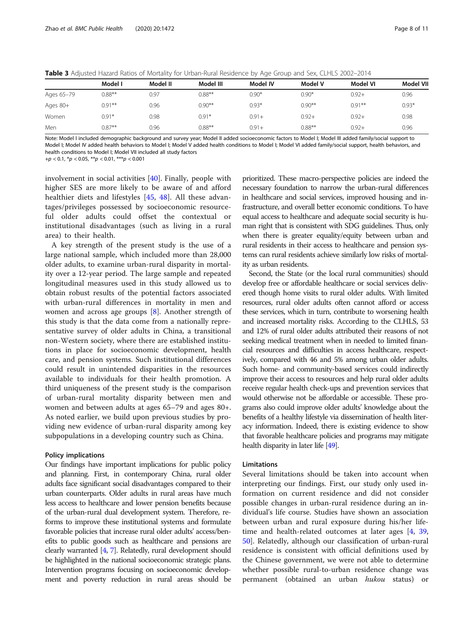<span id="page-7-0"></span>

|  |  | <b>Table 3</b> Adjusted Hazard Ratios of Mortality for Urban-Rural Residence by Age Group and Sex, CLHLS 2002-2014 |
|--|--|--------------------------------------------------------------------------------------------------------------------|
|--|--|--------------------------------------------------------------------------------------------------------------------|

|            | Model I   | Model II | Model III | Model IV | Model V   | <b>Model VI</b> | <b>Model VII</b> |
|------------|-----------|----------|-----------|----------|-----------|-----------------|------------------|
| Ages 65-79 | $0.88***$ | 0.97     | $0.88***$ | $0.90*$  | $0.90*$   | $0.92 +$        | 0.96             |
| Ages 80+   | $0.91***$ | 0.96     | $0.90**$  | $0.93*$  | $0.90***$ | $0.91***$       | $0.93*$          |
| Women      | $0.91*$   | 0.98     | $0.91*$   | $0.91 +$ | $0.92 +$  | $0.92 +$        | 0.98             |
| Men        | $0.87***$ | 0.96     | $0.88***$ | $0.91 +$ | $0.88***$ | $0.92 +$        | 0.96             |

Note: Model I included demographic background and survey year; Model II added socioeconomic factors to Model I; Model III added family/social support to Model I; Model IV added health behaviors to Model I; Model V added health conditions to Model I; Model VI added family/social support, health behaviors, and health conditions to Model I; Model VII included all study factors

 $+p < 0.1$ ,  $* p < 0.05$ ,  $** p < 0.01$ ,  $*** p < 0.001$ 

involvement in social activities [[40\]](#page-9-0). Finally, people with higher SES are more likely to be aware of and afford healthier diets and lifestyles [[45,](#page-10-0) [48](#page-10-0)]. All these advantages/privileges possessed by socioeconomic resourceful older adults could offset the contextual or institutional disadvantages (such as living in a rural area) to their health.

A key strength of the present study is the use of a large national sample, which included more than 28,000 older adults, to examine urban-rural disparity in mortality over a 12-year period. The large sample and repeated longitudinal measures used in this study allowed us to obtain robust results of the potential factors associated with urban-rural differences in mortality in men and women and across age groups [\[8](#page-9-0)]. Another strength of this study is that the data come from a nationally representative survey of older adults in China, a transitional non-Western society, where there are established institutions in place for socioeconomic development, health care, and pension systems. Such institutional differences could result in unintended disparities in the resources available to individuals for their health promotion. A third uniqueness of the present study is the comparison of urban-rural mortality disparity between men and women and between adults at ages 65–79 and ages 80+. As noted earlier, we build upon previous studies by providing new evidence of urban-rural disparity among key subpopulations in a developing country such as China.

# Policy implications

Our findings have important implications for public policy and planning. First, in contemporary China, rural older adults face significant social disadvantages compared to their urban counterparts. Older adults in rural areas have much less access to healthcare and lower pension benefits because of the urban-rural dual development system. Therefore, reforms to improve these institutional systems and formulate favorable policies that increase rural older adults' access/benefits to public goods such as healthcare and pensions are clearly warranted [\[4,](#page-9-0) [7](#page-9-0)]. Relatedly, rural development should be highlighted in the national socioeconomic strategic plans. Intervention programs focusing on socioeconomic development and poverty reduction in rural areas should be prioritized. These macro-perspective policies are indeed the necessary foundation to narrow the urban-rural differences in healthcare and social services, improved housing and infrastructure, and overall better economic conditions. To have equal access to healthcare and adequate social security is human right that is consistent with SDG guidelines. Thus, only when there is greater equality/equity between urban and rural residents in their access to healthcare and pension systems can rural residents achieve similarly low risks of mortality as urban residents.

Second, the State (or the local rural communities) should develop free or affordable healthcare or social services delivered though home visits to rural older adults. With limited resources, rural older adults often cannot afford or access these services, which in turn, contribute to worsening health and increased mortality risks. According to the CLHLS, 53 and 12% of rural older adults attributed their reasons of not seeking medical treatment when in needed to limited financial resources and difficulties in access healthcare, respectively, compared with 46 and 5% among urban older adults. Such home- and community-based services could indirectly improve their access to resources and help rural older adults receive regular health check-ups and prevention services that would otherwise not be affordable or accessible. These programs also could improve older adults' knowledge about the benefits of a healthy lifestyle via dissemination of health literacy information. Indeed, there is existing evidence to show that favorable healthcare policies and programs may mitigate health disparity in later life [\[49](#page-10-0)].

#### Limitations

Several limitations should be taken into account when interpreting our findings. First, our study only used information on current residence and did not consider possible changes in urban-rural residence during an individual's life course. Studies have shown an association between urban and rural exposure during his/her lifetime and health-related outcomes at later ages [[4,](#page-9-0) [39](#page-9-0), [50\]](#page-10-0). Relatedly, although our classification of urban-rural residence is consistent with official definitions used by the Chinese government, we were not able to determine whether possible rural-to-urban residence change was permanent (obtained an urban hukou status) or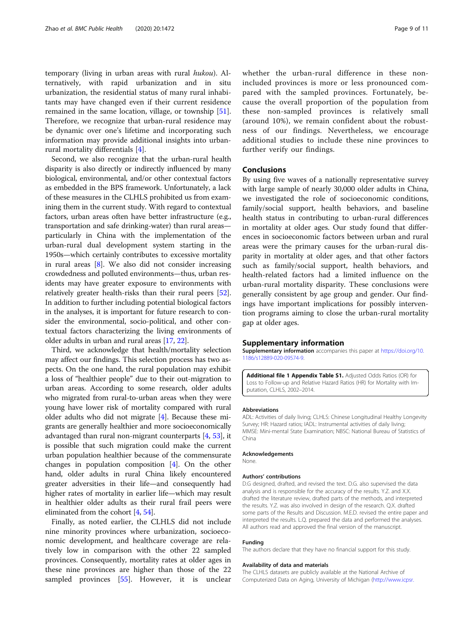<span id="page-8-0"></span>temporary (living in urban areas with rural hukou). Alternatively, with rapid urbanization and in situ urbanization, the residential status of many rural inhabitants may have changed even if their current residence remained in the same location, village, or township [\[51](#page-10-0)]. Therefore, we recognize that urban-rural residence may be dynamic over one's lifetime and incorporating such information may provide additional insights into urbanrural mortality differentials [\[4](#page-9-0)].

Second, we also recognize that the urban-rural health disparity is also directly or indirectly influenced by many biological, environmental, and/or other contextual factors as embedded in the BPS framework. Unfortunately, a lack of these measures in the CLHLS prohibited us from examining them in the current study. With regard to contextual factors, urban areas often have better infrastructure (e.g., transportation and safe drinking-water) than rural areas particularly in China with the implementation of the urban-rural dual development system starting in the 1950s—which certainly contributes to excessive mortality in rural areas [\[8](#page-9-0)]. We also did not consider increasing crowdedness and polluted environments—thus, urban residents may have greater exposure to environments with relatively greater health-risks than their rural peers [[52](#page-10-0)]. In addition to further including potential biological factors in the analyses, it is important for future research to consider the environmental, socio-political, and other contextual factors characterizing the living environments of older adults in urban and rural areas [\[17,](#page-9-0) [22](#page-9-0)].

Third, we acknowledge that health/mortality selection may affect our findings. This selection process has two aspects. On the one hand, the rural population may exhibit a loss of "healthier people" due to their out-migration to urban areas. According to some research, older adults who migrated from rural-to-urban areas when they were young have lower risk of mortality compared with rural older adults who did not migrate [[4\]](#page-9-0). Because these migrants are generally healthier and more socioeconomically advantaged than rural non-migrant counterparts [\[4](#page-9-0), [53\]](#page-10-0), it is possible that such migration could make the current urban population healthier because of the commensurate changes in population composition [[4\]](#page-9-0). On the other hand, older adults in rural China likely encountered greater adversities in their life—and consequently had higher rates of mortality in earlier life—which may result in healthier older adults as their rural frail peers were eliminated from the cohort [[4](#page-9-0), [54\]](#page-10-0).

Finally, as noted earlier, the CLHLS did not include nine minority provinces where urbanization, socioeconomic development, and healthcare coverage are relatively low in comparison with the other 22 sampled provinces. Consequently, mortality rates at older ages in these nine provinces are higher than those of the 22 sampled provinces [\[55](#page-10-0)]. However, it is unclear

whether the urban-rural difference in these nonincluded provinces is more or less pronounced compared with the sampled provinces. Fortunately, because the overall proportion of the population from these non-sampled provinces is relatively small (around 10%), we remain confident about the robustness of our findings. Nevertheless, we encourage additional studies to include these nine provinces to further verify our findings.

## Conclusions

By using five waves of a nationally representative survey with large sample of nearly 30,000 older adults in China, we investigated the role of socioeconomic conditions, family/social support, health behaviors, and baseline health status in contributing to urban-rural differences in mortality at older ages. Our study found that differences in socioeconomic factors between urban and rural areas were the primary causes for the urban-rural disparity in mortality at older ages, and that other factors such as family/social support, health behaviors, and health-related factors had a limited influence on the urban-rural mortality disparity. These conclusions were generally consistent by age group and gender. Our findings have important implications for possibly intervention programs aiming to close the urban-rural mortality gap at older ages.

#### Supplementary information

Supplementary information accompanies this paper at [https://doi.org/10.](https://doi.org/10.1186/s12889-020-09574-9) [1186/s12889-020-09574-9](https://doi.org/10.1186/s12889-020-09574-9).

Additional file 1 Appendix Table S1. Adjusted Odds Ratios (OR) for Loss to Follow-up and Relative Hazard Ratios (HR) for Mortality with Imputation, CLHLS, 2002–2014.

#### Abbreviations

ADL: Activities of daily living; CLHLS: Chinese Longitudinal Healthy Longevity Survey; HR: Hazard ratios; IADL: Instrumental activities of daily living; MMSE: Mini-mental State Examination; NBSC: National Bureau of Statistics of China

#### Acknowledgements

None.

#### Authors' contributions

D.G designed, drafted, and revised the text. D.G. also supervised the data analysis and is responsible for the accuracy of the results. Y.Z. and X.X. drafted the literature review, drafted parts of the methods, and interpreted the results. Y.Z. was also involved in design of the research. Q.X. drafted some parts of the Results and Discussion. M.E.D. revised the entire paper and interpreted the results. L.Q. prepared the data and performed the analyses. All authors read and approved the final version of the manuscript.

#### Funding

The authors declare that they have no financial support for this study.

#### Availability of data and materials

The CLHLS datasets are publicly available at the National Archive of Computerized Data on Aging, University of Michigan ([http://www.icpsr.](http://www.icpsr.umich.edu/icpsrweb/NACDA/studies/36179)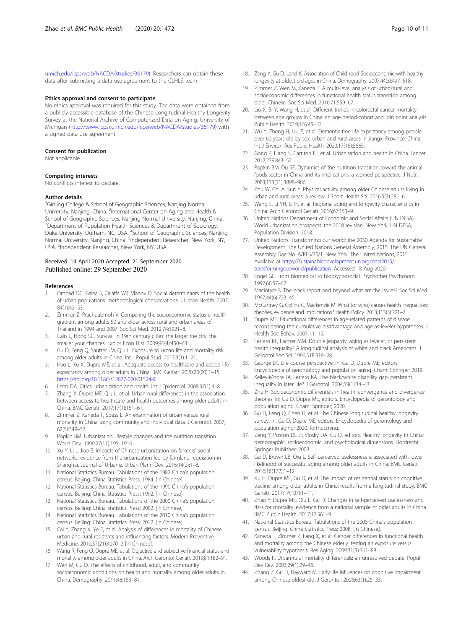<span id="page-9-0"></span>[umich.edu/icpsrweb/NACDA/studies/36179](http://www.icpsr.umich.edu/icpsrweb/NACDA/studies/36179)). Researchers can obtain these data after submitting a data use agreement to the CLHLS team.

#### Ethics approval and consent to participate

No ethics approval was required for this study. The data were obtained from a publicly accessible database of the Chinese Longitudinal Healthy Longevity Survey at the National Archive of Computerized Data on Aging, University of Michigan [\(http://www.icpsr.umich.edu/icpsrweb/NACDA/studies/36179](http://www.icpsr.umich.edu/icpsrweb/NACDA/studies/36179)) with a signed data use agreement.

#### Consent for publication

Not applicable.

#### Competing interests

No conflicts interest to declare.

#### Author details

<sup>1</sup>Ginling College & School of Geographic Sciences, Nanjing Normal University, Nanjing, China. <sup>2</sup>International Center on Aging and Health & School of Geographic Sciences, Nanjing Normal University, Nanjing, China. <sup>3</sup>Department of Population Health Sciences & Department of Sociology, Duke University, Durham, NC, USA. <sup>4</sup>School of Geographic Sciences, Nanjing Normal University, Nanjing, China. <sup>5</sup>Independent Researcher, New York, NY, USA. <sup>6</sup>Independent Researcher, New York, NY, USA.

#### Received: 14 April 2020 Accepted: 21 September 2020 Published online: 29 September 2020

#### References

- 1. Ompad DC, Galea S, Caiaffa WT, Vlahov D. Social determinants of the health of urban populations: methodological considerations. J Urban Health. 2007; 84(1):42–53.
- Zimmer Z, Prachuabmoh V. Comparing the socioeconomic status e health gradient among adults 50 and older across rural and urban areas of Thailand in 1994 and 2007. Soc Sci Med. 2012;74:1921–8.
- 3. Cain L, Hong SC. Survival in 19th century cities: the larger the city, the smaller your chances. Explor Econ Hist. 2009;46(4):450–63.
- 4. Gu D, Feng Q, Sautter JM, Qiu L. Exposure to urban life and mortality risk among older adults in China. Int J Popul Stud. 2017;3(1):1–21.
- Hao L, Xu X, Dupre ME, et al. Adequate access to healthcare and added life expectancy among older adults in China. BMC Geriatr. 2020;20(20):1–15. [https://doi.org/10.1186/s12877-020-01524-9.](https://doi.org/10.1186/s12877-020-01524-9)
- 6. Leon DA. Cities, urbanization and health. Int J Epidemiol. 2008;37(1):4–8.
- Zhang X, Dupre ME, Qiu L, et al. Urban-rural differences in the association between access to healthcare and health outcomes among older adults in China. BMC Geriatr. 2017;17(1):151–61.
- 8. Zimmer Z, Kaneda T, Spess L. An examination of urban versus rural mortality in China using community and individual data. J Gerontol. 2007; 62(5):349–57.
- 9. Popkin BM. Urbanization, lifestyle changes and the nutrition transition. World Dev. 1999;27(11):195–1916.
- 10. Xu Y, Li J, Jiao S. Impacts of Chinese urbanization on farmers' social networks: evidence from the urbanization led by farmland requisition in Shanghai. Journal of Urbaniz. Urban Plann Dev. 2016;14(2):1–8.
- 11. National Statistics Bureau. Tabulations of the 1982 China's population census. Beijing: China Statistics Press; 1984. [in Chinese].
- 12. National Statistics Bureau. Tabulations of the 1990 China's population census. Beijing: China Statistics Press; 1992. [in Chinese].
- 13. National Statistics Bureau. Tabulations of the 2000 China's population census. Beijing: China Statistics Press; 2002. [in Chinese].
- 14. National Statistics Bureau. Tabulations of the 2010 China's population census. Beijing: China Statistics Press; 2012. [in Chinese].
- 15. Cai Y, Zhang X, Ye E, et al. Analysis of differences in mortality of Chinese urban and rural residents and influencing factors. Modern Preventive Medicine. 2010;37(21):4070–2 [in Chinese].
- 16. Wang R, Feng Q, Dupre ME, et al. Objective and subjective financial status and mortality among older adults in China. Arch Gerontol Geriatr. 2019;81:182–91.
- 17. Wen M, Gu D. The effects of childhood, adult, and community socioeconomic conditions on health and mortality among older adults in China. Demography. 2011;48:153–81.
- 18. Zeng Y, Gu D, Land K. Association of Childhood Socioeconomic with healthy longevity at oldest-old ages in China. Demography. 2007;44(3):497–518.
- 19. Zimmer Z, Wen M, Kaneda T. A multi-level analysis of urban/rural and socioeconomic differences in functional health status transition among older Chinese. Soc Sci Med. 2010;71:559–67.
- 20. Liu X, Bi Y, Wang H, et al. Different trends in colorectal cancer mortality between age groups in China: an age-period-cohort and join point analysis. Public Health. 2019;166:45–52.
- 21. Wu Y, Zheng H, Liu Z, et al. Dementia-free life expectancy among people over 60 years old by sex, urban and rural areas in Jiangxi Province, China. Int J Environ Res Public Health. 2020;17(16):5665.
- 22. Gong P, Liang S, Cartlton EJ, et al. Urbanisation and health in China. Lancet. 2012;279:843–52.
- 23. Popkin BM, Du SF. Dynamics of the nutrition transition toward the animal foods sector in China and its implications: a worried perspective. J Nutr. 2003;133(11):3898–906.
- 24. Zhu W, Chi A, Sun Y. Physical activity among older Chinese adults living in urban and rural areas: a review. J Sport Health Sci. 2016;5(3):281–6.
- 25. Wang L, Li YH, Li H, et al. Regional aging and longevity characteristics in China. Arch Gerontol Geriatr. 2016;67:153–9.
- 26. United Nations Department of Economic and Social Affairs (UN DESA). World urbanization prospects: the 2018 revision. New York: UN DESA, Population Division; 2018.
- 27. United Nations. Transforming our world: the 2030 Agenda for Sustainable Development. The United Nations General Assembly, 2015. The UN General Assembly Doc No. A/RES/70/1. New York: The United Nations; 2015. Available at [https://sustainabledevelopment.un.org/post2015/](https://sustainabledevelopment.un.org/post2015/transformingourworld/publication) [transformingourworld/publication](https://sustainabledevelopment.un.org/post2015/transformingourworld/publication). Accessed 18 Aug 2020.
- 28. Engel GL. From biomedical to biopsychosocial. Psychother Psychosom. 1997;66:57–62.
- 29. Macintyre S. The black report and beyond what are the issues? Soc Sci Med. 1997;44(6):723–45.
- 30. McCartney G, Collins C, Mackenzie M. What (or who) causes health inequalities: theories, evidence and implications? Health Policy. 2013;113(3):221–7.
- 31. Dupre ME. Educational differences in age-related patterns of disease: reconsidering the cumulative disadvantage and age-as-leveler hypotheses. J Health Soc Behav. 2007;1:1–15.
- 32. Ferraro KF, Farmer MM. Double jeopardy, aging as leveler, or persistent health inequality? A longitudinal analysis of white and black Americans. J Gerontol Soc Sci. 1996;51B:319–28.
- 33. George LK. Life course perspective. In: Gu D, Dupre ME, editors. Encyclopedia of gerontology and population aging. Cham: Springer; 2019.
- Kelley-Moore JA, Ferraro KA. The black/white disability gap: persistent inequality in later life? J Gerontol. 2004;59(1):34–43.
- 35. Zhu H. Socioeconomic differentials in health: convergence and divergence theories. In: Gu D, Dupre ME, editors. Encyclopedia of gerontology and population aging. Cham: Springer; 2020.
- 36. Gu D, Feng Q, Chen H, et al. The Chinese longitudinal healthy longevity survey. In: Gu D, Dupre ME, editors. Encyclopedia of gerontology and population aging; 2020. forthocming.
- 37. Zeng Y, Poston DL Jr, Vlosky DA, Gu D, editors. Healthy longevity in China: demographic, socioeconomic, and psychological dimensions. Dordrecht: Springer Publisher; 2008.
- Gu D, Brown LB, Qiu L. Self-perceived uselessness is associated with lower likelihood of successful aging among older adults in China. BMC Geriatr. 2016;16(172):1–12.
- 39. Xu H, Dupre ME, Gu D, et al. The impact of residential status on cognitive decline among older adults in China: results from a longitudinal study. BMC Geriatr. 2017;17(107):1–11.
- 40. Zhao Y, Dupre ME, Qiu L, Gu D. Changes in self-perceived uselessness and risks for mortality: evidence from a national sample of older adults in China. BMC Public Health. 2017;17:561–9.
- 41. National Statistics Bureau. Tabulations of the 2005 China's population census. Beijing: China Statistics Press; 2008. [in Chinese].
- 42. Kaneda T, Zimmer Z, Fang X, et al. Gender differences in functional health and mortality among the Chinese elderly: testing an exposure versus vulnerability hypothesis. Res Aging. 2009;31(3):361–88.
- 43. Woods R. Urban-rural mortality differentials: an unresolved debate. Popul Dev Rev. 2003;29(1):29–46.
- 44. Zhang Z, Gu D, Hayward M. Early-life influences on cognitive impairment among Chinese oldest-old. J Gerontol. 2008;63(1):25–33.